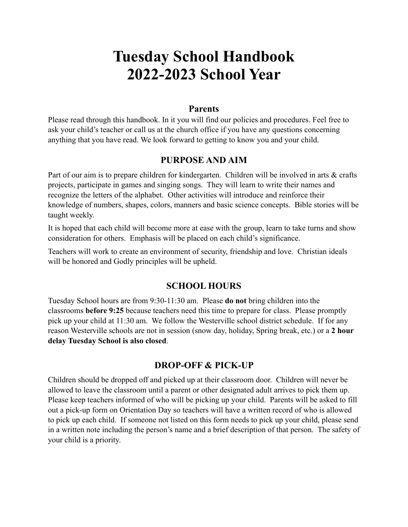# **Tuesday School Handbook 2022-2023 School Year**

### **Parents**

Please read through this handbook. In it you will find our policies and procedures. Feel free to ask your child's teacher or call us at the church office if you have any questions concerning anything that you have read. We look forward to getting to know you and your child.

# **PURPOSE AND AIM**

Part of our aim is to prepare children for kindergarten. Children will be involved in arts & crafts projects, participate in games and singing songs. They will learn to write their names and recognize the letters of the alphabet. Other activities will introduce and reinforce their knowledge of numbers, shapes, colors, manners and basic science concepts. Bible stories will be taught weekly.

It is hoped that each child will become more at ease with the group, learn to take turns and show consideration for others. Emphasis will be placed on each child's significance.

Teachers will work to create an environment of security, friendship and love. Christian ideals will be honored and Godly principles will be upheld.

# **SCHOOL HOURS**

Tuesday School hours are from 9:30-11:30 am. Please **do not** bring children into the classrooms **before 9:25** because teachers need this time to prepare for class. Please promptly pick up your child at 11:30 am. We follow the Westerville school district schedule. If for any reason Westerville schools are not in session (snow day, holiday, Spring break, etc.) or a **2 hour delay Tuesday School is also closed**.

# **DROP-OFF & PICK-UP**

Children should be dropped off and picked up at their classroom door. Children will never be allowed to leave the classroom until a parent or other designated adult arrives to pick them up. Please keep teachers informed of who will be picking up your child. Parents will be asked to fill out a pick-up form on Orientation Day so teachers will have a written record of who is allowed to pick up each child. If someone not listed on this form needs to pick up your child, please send in a written note including the person's name and a brief description of that person. The safety of your child is a priority.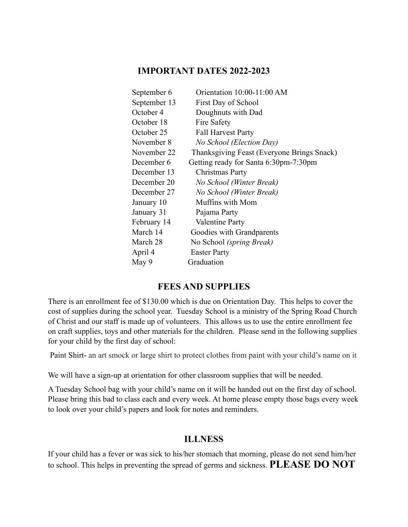### **IMPORTANT DATES 2022-2023**

| September 6  | Orientation 10:00-11:00 AM                 |
|--------------|--------------------------------------------|
| September 13 | First Day of School                        |
| October 4    | Doughnuts with Dad                         |
| October 18   | Fire Safety                                |
| October 25   | <b>Fall Harvest Party</b>                  |
| November 8   | No School (Election Day)                   |
| November 22  | Thanksgiving Feast (Everyone Brings Snack) |
| December 6   | Getting ready for Santa 6:30pm-7:30pm      |
| December 13  | Christmas Party                            |
| December 20  | No School (Winter Break)                   |
| December 27  | No School (Winter Break)                   |
| January 10   | Muffins with Mom                           |
| January 31   | Pajama Party                               |
| February 14  | Valentine Party                            |
| March 14     | Goodies with Grandparents                  |
| March 28     | No School <i>(spring Break)</i>            |
| April 4      | <b>Easter Party</b>                        |
| May 9        | Graduation                                 |

### **FEES AND SUPPLIES**

There is an enrollment fee of \$130.00 which is due on Orientation Day. This helps to cover the cost of supplies during the school year. Tuesday School is a ministry of the Spring Road Church of Christ and our staff is made up of volunteers. This allows us to use the entire enrollment fee on craft supplies, toys and other materials for the children. Please send in the following supplies for your child by the first day of school:

Paint Shirt- an art smock or large shirt to protect clothes from paint with your child's name on it

We will have a sign-up at orientation for other classroom supplies that will be needed.

A Tuesday School bag with your child's name on it will be handed out on the first day of school. Please bring this bad to class each and every week. At home please empty those bags every week to look over your child's papers and look for notes and reminders.

#### **ILLNESS**

If your child has a fever or was sick to his/her stomach that morning, please do not send him/her to school. This helps in preventing the spread of germs and sickness. **PLEASE DO NOT**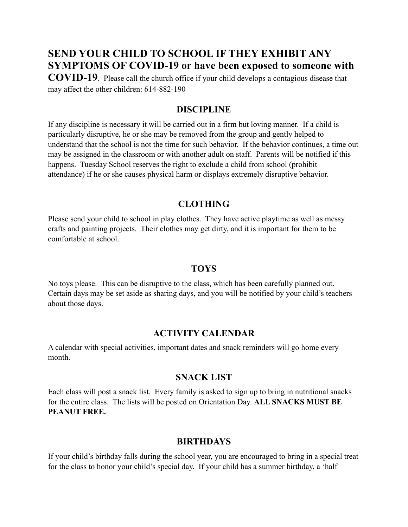# **SEND YOUR CHILD TO SCHOOL IF THEY EXHIBIT ANY SYMPTOMS OF COVID-19 or have been exposed to someone with**

**COVID-19**. Please call the church office if your child develops a contagious disease that may affect the other children: 614-882-190

### **DISCIPLINE**

If any discipline is necessary it will be carried out in a firm but loving manner. If a child is particularly disruptive, he or she may be removed from the group and gently helped to understand that the school is not the time for such behavior. If the behavior continues, a time out may be assigned in the classroom or with another adult on staff. Parents will be notified if this happens. Tuesday School reserves the right to exclude a child from school (prohibit attendance) if he or she causes physical harm or displays extremely disruptive behavior.

### **CLOTHING**

Please send your child to school in play clothes. They have active playtime as well as messy crafts and painting projects. Their clothes may get dirty, and it is important for them to be comfortable at school.

### **TOYS**

No toys please. This can be disruptive to the class, which has been carefully planned out. Certain days may be set aside as sharing days, and you will be notified by your child's teachers about those days.

### **ACTIVITY CALENDAR**

A calendar with special activities, important dates and snack reminders will go home every month.

### **SNACK LIST**

Each class will post a snack list. Every family is asked to sign up to bring in nutritional snacks for the entire class. The lists will be posted on Orientation Day. **ALL SNACKS MUST BE PEANUT FREE.** 

# **BIRTHDAYS**

If your child's birthday falls during the school year, you are encouraged to bring in a special treat for the class to honor your child's special day. If your child has a summer birthday, a 'half